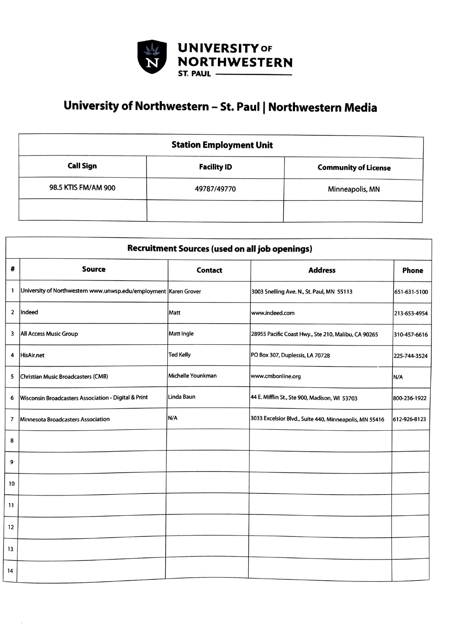

## University of Northwestern - St. Paul | Northwestern Media

|                                        | <b>Station Employment Unit</b> |                             |  |
|----------------------------------------|--------------------------------|-----------------------------|--|
| <b>Call Sign</b><br><b>Facility ID</b> |                                | <b>Community of License</b> |  |
| 98.5 KTIS FM/AM 900                    | 49787/49770                    | Minneapolis, MN             |  |
|                                        |                                |                             |  |

|                | <b>Recruitment Sources (used on all job openings)</b>              |                   |                                                        |              |  |
|----------------|--------------------------------------------------------------------|-------------------|--------------------------------------------------------|--------------|--|
| #              | <b>Source</b>                                                      | <b>Contact</b>    | <b>Address</b>                                         | Phone        |  |
| 1              | University of Northwestern www.unwsp.edu/employment   Karen Grover |                   | 3003 Snelling Ave. N., St. Paul, MN 55113              | 651-631-5100 |  |
| $\overline{2}$ | Indeed                                                             | Matt              | www.indeed.com                                         | 213-653-4954 |  |
| 3              | All Access Music Group                                             | Matt Ingle        | 28955 Pacific Coast Hwy., Ste 210, Malibu, CA 90265    | 310-457-6616 |  |
| 4              | HisAir.net                                                         | <b>Ted Kelly</b>  | PO Box 307, Duplessis, LA 70728                        | 225-744-3524 |  |
| 5              | Christian Music Broadcasters (CMB)                                 | Michelle Younkman | www.cmbonline.org                                      | N/A          |  |
| 6              | Wisconsin Broadcasters Association - Digital & Print               | Linda Baun        | 44 E. Mifflin St., Ste 900, Madison, WI 53703          | 800-236-1922 |  |
| $\overline{7}$ | Minnesota Broadcasters Association                                 | N/A               | 3033 Excelsior Blvd., Suite 440, Minneapolis, MN 55416 | 612-926-8123 |  |
| 8              |                                                                    |                   |                                                        |              |  |
| 9              |                                                                    |                   |                                                        |              |  |
| 10             |                                                                    |                   |                                                        |              |  |
| 11             |                                                                    |                   |                                                        |              |  |
| 12             |                                                                    |                   |                                                        |              |  |
| 13             |                                                                    |                   |                                                        |              |  |
| 14             |                                                                    |                   |                                                        |              |  |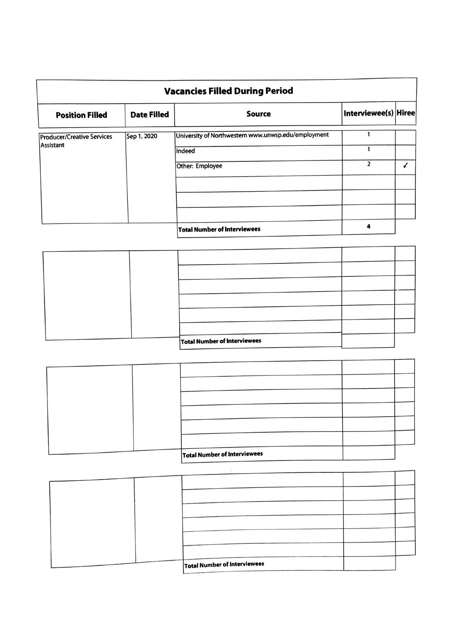| <b>Vacancies Filled During Period</b> |                    |                                                     |                        |  |
|---------------------------------------|--------------------|-----------------------------------------------------|------------------------|--|
| <b>Position Filled</b>                | <b>Date Filled</b> | <b>Source</b>                                       | Interviewee(s)   Hiree |  |
| <b>Producer/Creative Services</b>     | Sep 1, 2020        | University of Northwestern www.unwsp.edu/employment |                        |  |
| Assistant                             |                    | Indeed                                              |                        |  |
|                                       |                    | Other: Employee                                     | 2                      |  |
|                                       |                    |                                                     |                        |  |
|                                       |                    |                                                     |                        |  |
|                                       |                    | <b>Total Number of Interviewees</b>                 | 4                      |  |

|  | <b>Total Number of Interviewees</b> |  |
|--|-------------------------------------|--|
|  |                                     |  |

|  |  | <b>Total Number of Interviewees</b> |  |  |
|--|--|-------------------------------------|--|--|
|  |  |                                     |  |  |

|  | <b>Total Number of Interviewees</b> |  |
|--|-------------------------------------|--|